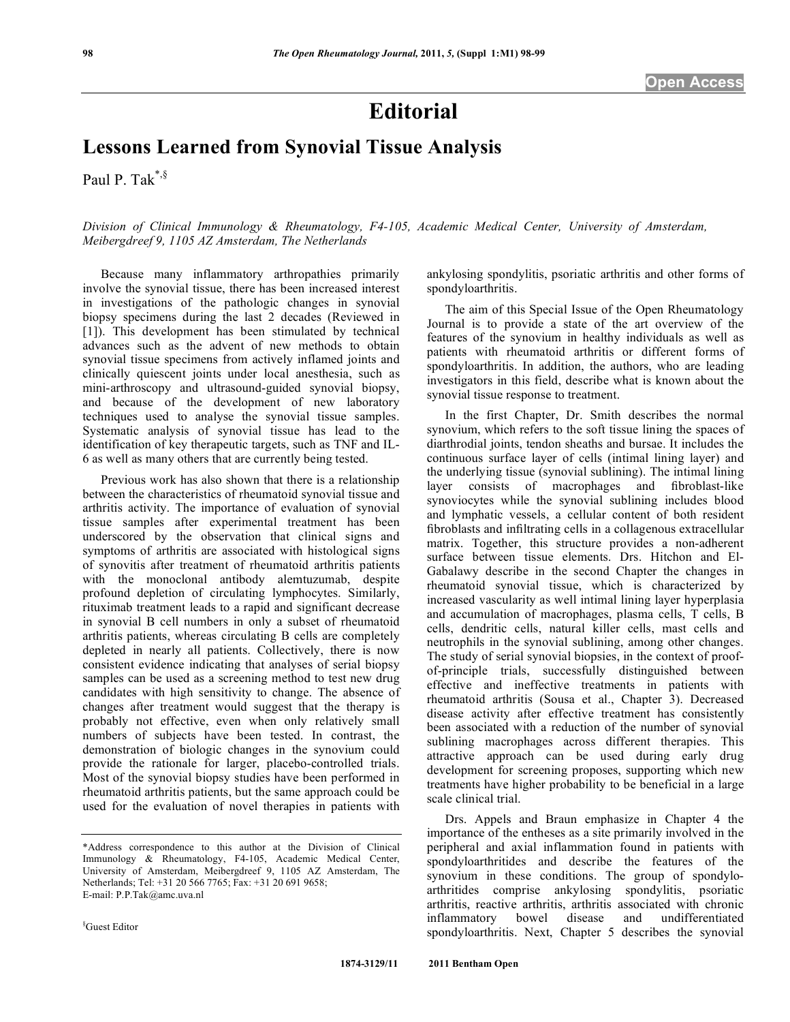## **Editorial**

## **Lessons Learned from Synovial Tissue Analysis**

Paul P. Tak $^{*,\S}$ 

*Division of Clinical Immunology & Rheumatology, F4-105, Academic Medical Center, University of Amsterdam, Meibergdreef 9, 1105 AZ Amsterdam, The Netherlands* 

 Because many inflammatory arthropathies primarily involve the synovial tissue, there has been increased interest in investigations of the pathologic changes in synovial biopsy specimens during the last 2 decades (Reviewed in [1]). This development has been stimulated by technical advances such as the advent of new methods to obtain synovial tissue specimens from actively inflamed joints and clinically quiescent joints under local anesthesia, such as mini-arthroscopy and ultrasound-guided synovial biopsy, and because of the development of new laboratory techniques used to analyse the synovial tissue samples. Systematic analysis of synovial tissue has lead to the identification of key therapeutic targets, such as TNF and IL-6 as well as many others that are currently being tested.

 Previous work has also shown that there is a relationship between the characteristics of rheumatoid synovial tissue and arthritis activity. The importance of evaluation of synovial tissue samples after experimental treatment has been underscored by the observation that clinical signs and symptoms of arthritis are associated with histological signs of synovitis after treatment of rheumatoid arthritis patients with the monoclonal antibody alemtuzumab, despite profound depletion of circulating lymphocytes. Similarly, rituximab treatment leads to a rapid and significant decrease in synovial B cell numbers in only a subset of rheumatoid arthritis patients, whereas circulating B cells are completely depleted in nearly all patients. Collectively, there is now consistent evidence indicating that analyses of serial biopsy samples can be used as a screening method to test new drug candidates with high sensitivity to change. The absence of changes after treatment would suggest that the therapy is probably not effective, even when only relatively small numbers of subjects have been tested. In contrast, the demonstration of biologic changes in the synovium could provide the rationale for larger, placebo-controlled trials. Most of the synovial biopsy studies have been performed in rheumatoid arthritis patients, but the same approach could be used for the evaluation of novel therapies in patients with ankylosing spondylitis, psoriatic arthritis and other forms of spondyloarthritis.

 The aim of this Special Issue of the Open Rheumatology Journal is to provide a state of the art overview of the features of the synovium in healthy individuals as well as patients with rheumatoid arthritis or different forms of spondyloarthritis. In addition, the authors, who are leading investigators in this field, describe what is known about the synovial tissue response to treatment.

 In the first Chapter, Dr. Smith describes the normal synovium, which refers to the soft tissue lining the spaces of diarthrodial joints, tendon sheaths and bursae. It includes the continuous surface layer of cells (intimal lining layer) and the underlying tissue (synovial sublining). The intimal lining layer consists of macrophages and fibroblast-like synoviocytes while the synovial sublining includes blood and lymphatic vessels, a cellular content of both resident fibroblasts and infiltrating cells in a collagenous extracellular matrix. Together, this structure provides a non-adherent surface between tissue elements. Drs. Hitchon and El-Gabalawy describe in the second Chapter the changes in rheumatoid synovial tissue, which is characterized by increased vascularity as well intimal lining layer hyperplasia and accumulation of macrophages, plasma cells, T cells, B cells, dendritic cells, natural killer cells, mast cells and neutrophils in the synovial sublining, among other changes. The study of serial synovial biopsies, in the context of proofof-principle trials, successfully distinguished between effective and ineffective treatments in patients with rheumatoid arthritis (Sousa et al., Chapter 3). Decreased disease activity after effective treatment has consistently been associated with a reduction of the number of synovial sublining macrophages across different therapies. This attractive approach can be used during early drug development for screening proposes, supporting which new treatments have higher probability to be beneficial in a large scale clinical trial.

 Drs. Appels and Braun emphasize in Chapter 4 the importance of the entheses as a site primarily involved in the peripheral and axial inflammation found in patients with spondyloarthritides and describe the features of the synovium in these conditions. The group of spondyloarthritides comprise ankylosing spondylitis, psoriatic arthritis, reactive arthritis, arthritis associated with chronic inflammatory bowel disease and undifferentiated spondyloarthritis. Next, Chapter 5 describes the synovial

<sup>\*</sup>Address correspondence to this author at the Division of Clinical Immunology & Rheumatology, F4-105, Academic Medical Center, University of Amsterdam, Meibergdreef 9, 1105 AZ Amsterdam, The Netherlands; Tel: +31 20 566 7765; Fax: +31 20 691 9658; E-mail: P.P.Tak@amc.uva.nl